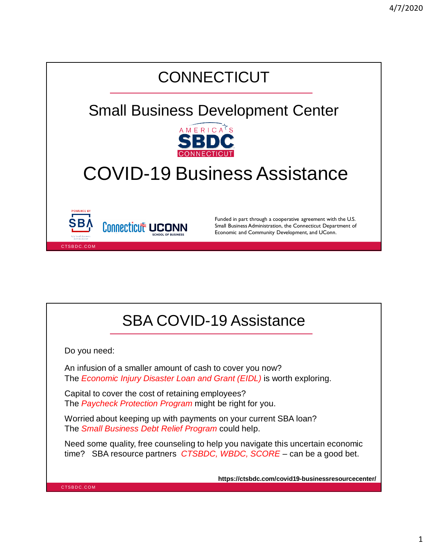

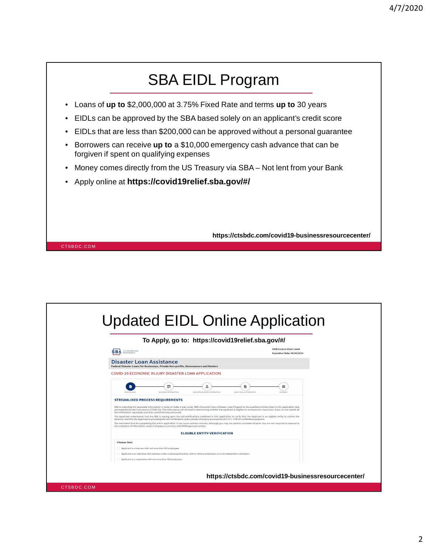

| To Apply, go to: https://covid19relief.sba.gov/#/                                                                                                                                                                                                                                                                                                                                                                                     |                                                                           |
|---------------------------------------------------------------------------------------------------------------------------------------------------------------------------------------------------------------------------------------------------------------------------------------------------------------------------------------------------------------------------------------------------------------------------------------|---------------------------------------------------------------------------|
| <b>U.S. Small Business</b><br><b>SBA</b><br>Administration                                                                                                                                                                                                                                                                                                                                                                            | <b>OMB Control #3247-0406</b><br>Expiration Date: 09/30/2020              |
| Disaster Loan Assistance<br>Federal Disaster Loans for Businesses, Private Non-profits, Homeowners and Renters                                                                                                                                                                                                                                                                                                                        |                                                                           |
| COVID-19 ECONOMIC INJURY DISASTER LOAN APPLICATION                                                                                                                                                                                                                                                                                                                                                                                    |                                                                           |
| $\Box$<br>$\frac{1}{2}$<br><b>BUSINESS INFORMATION</b><br>BUSINESS OWNERS INFORMATION<br>DISCLOSURES                                                                                                                                                                                                                                                                                                                                  | 脂<br>$\overline{\phantom{a}}$<br>ADDITIONAL INFORMATION<br><b>SUMMARY</b> |
| <b>STREAMLINED PROCESS REOUIREMENTS</b>                                                                                                                                                                                                                                                                                                                                                                                               |                                                                           |
| SBA is collecting the requested information in order to make a loan under SBA's Economic Injury Disaster Loan Program to the qualified entities listed in this application that<br>are impacted by the Coronavirus (COVID-19). The information will be used in determining whether the applicant is eligible for an economic injury loan. If you do not submit all<br>the information requested, your loan cannot be fully processed. |                                                                           |
| The Applicant understands that the SBA is relying upon the self-certifications contained in this application to verify that the Applicant is an eligible entity to receive the<br>advance, and that the Applicant is providing this self-certification under penalty of perjury pursuant to 28 U.S.C. 1746 for verification purposes.                                                                                                 |                                                                           |
| The estimated time for completing this entire application is two hours and ten minutes, although you may not need to complete all parts. You are not required to respond to<br>this collection of information unless it displays a currently valid OMB approval number.                                                                                                                                                               |                                                                           |
| <b>ELIGIBLE ENTITY VERIFICATION</b>                                                                                                                                                                                                                                                                                                                                                                                                   |                                                                           |
| <b>Choose One:</b>                                                                                                                                                                                                                                                                                                                                                                                                                    |                                                                           |
| Applicant is a business with not more than 500 employees                                                                                                                                                                                                                                                                                                                                                                              |                                                                           |
|                                                                                                                                                                                                                                                                                                                                                                                                                                       |                                                                           |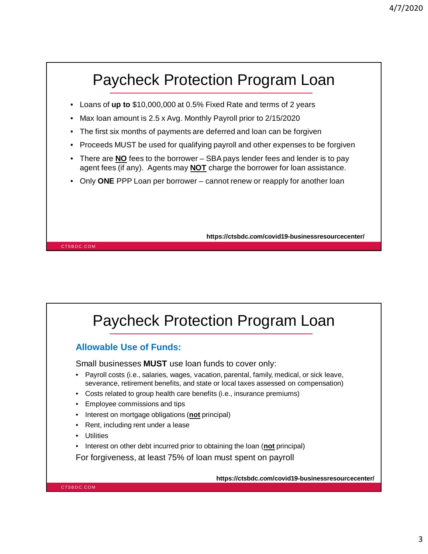# Paycheck Protection Program Loan

- Loans of **up to** \$10,000,000 at 0.5% Fixed Rate and terms of 2 years
- Max loan amount is 2.5 x Avg. Monthly Payroll prior to 2/15/2020
- The first six months of payments are deferred and loan can be forgiven
- Proceeds MUST be used for qualifying payroll and other expenses to be forgiven
- There are **NO** fees to the borrower SBA pays lender fees and lender is to pay agent fees (if any). Agents may **NOT** charge the borrower for loan assistance.
- Only **ONE** PPP Loan per borrower cannot renew or reapply for another loan

**https://ctsbdc.com/covid19-businessresourcecenter/**

CTSBDC.COM

# Paycheck Protection Program Loan

### **Allowable Use of Funds:**

Small businesses **MUST** use loan funds to cover only:

- Payroll costs (i.e., salaries, wages, vacation, parental, family, medical, or sick leave, severance, retirement benefits, and state or local taxes assessed on compensation)
- Costs related to group health care benefits (i.e., insurance premiums)
- Employee commissions and tips
- Interest on mortgage obligations (**not** principal)
- Rent, including rent under a lease
- **Utilities**
- Interest on other debt incurred prior to obtaining the loan (**not** principal)

For forgiveness, at least 75% of loan must spent on payroll

**https://ctsbdc.com/covid19-businessresourcecenter/**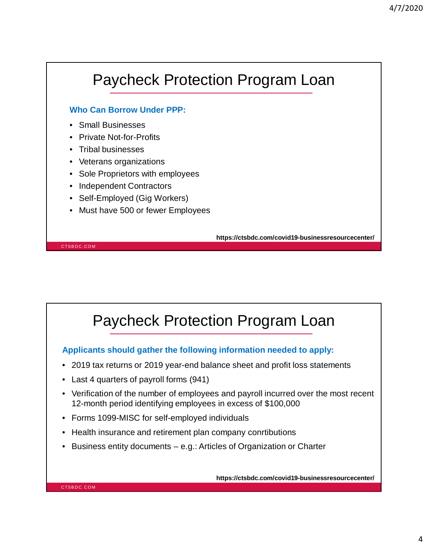# Paycheck Protection Program Loan

### **Who Can Borrow Under PPP:**

- Small Businesses
- Private Not-for-Profits
- Tribal businesses

CTSBDC.COM

- Veterans organizations
- Sole Proprietors with employees
- Independent Contractors
- Self-Employed (Gig Workers)
- Must have 500 or fewer Employees

**https://ctsbdc.com/covid19-businessresourcecenter/**

# Paycheck Protection Program Loan

**Applicants should gather the following information needed to apply:**

- 2019 tax returns or 2019 year-end balance sheet and profit loss statements
- Last 4 quarters of payroll forms (941)
- Verification of the number of employees and payroll incurred over the most recent 12-month period identifying employees in excess of \$100,000
- Forms 1099-MISC for self-employed individuals
- Health insurance and retirement plan company conrtibutions
- Business entity documents e.g.: Articles of Organization or Charter

**https://ctsbdc.com/covid19-businessresourcecenter/**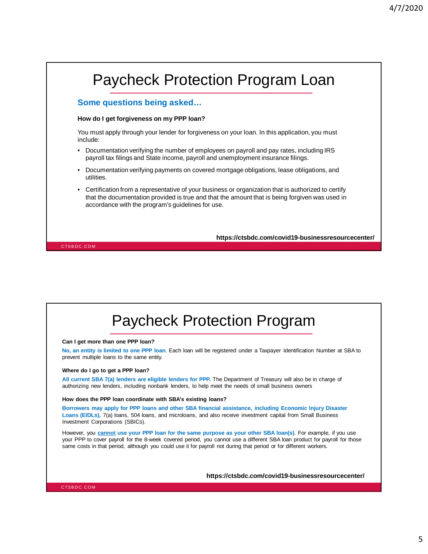## CTSBDC.COM Paycheck Protection Program Loan **https://ctsbdc.com/covid19-businessresourcecenter/ Some questions being asked… How do I get forgiveness on my PPP loan?** You must apply through your lender for forgiveness on your loan. In this application, you must include: • Documentation verifying the number of employees on payroll and pay rates, including IRS payroll tax filings and State income, payroll and unemployment insurance filings. • Documentation verifying payments on covered mortgage obligations, lease obligations, and utilities. • Certification from a representative of your business or organization that is authorized to certify that the documentation provided is true and that the amount that is being forgiven was used in accordance with the program's guidelines for use.

# Paycheck Protection Program

#### **Can I get more than one PPP loan?**

**No, an entity is limited to one PPP loan**. Each loan will be registered under a Taxpayer Identification Number at SBA to prevent multiple loans to the same entity.

#### **Where do I go to get a PPP loan?**

**All current SBA 7(a) lenders are eligible lenders for PPP.** The Department of Treasury will also be in charge of authorizing new lenders, including nonbank lenders, to help meet the needs of small business owners

#### **How does the PPP loan coordinate with SBA's existing loans?**

**Borrowers may apply for PPP loans and other SBA financial assistance, including Economic Injury Disaster Loans (EIDLs),** 7(a) loans, 504 loans, and microloans, and also receive investment capital from Small Business Investment Corporations (SBICs).

However, you **cannot use your PPP loan for the same purpose as your other SBA loan(s)**. For example, if you use your PPP to cover payroll for the 8-week covered period, you cannot use a different SBA loan product for payroll for those same costs in that period, although you could use it for payroll not during that period or for different workers.

**https://ctsbdc.com/covid19-businessresourcecenter/**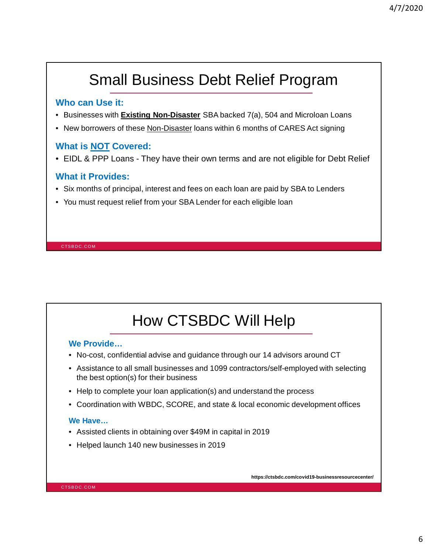# Small Business Debt Relief Program

### **Who can Use it:**

- Businesses with **Existing Non-Disaster** SBA backed 7(a), 504 and Microloan Loans
- New borrowers of these Non-Disaster loans within 6 months of CARES Act signing

### **What is NOT Covered:**

• EIDL & PPP Loans - They have their own terms and are not eligible for Debt Relief

### **What it Provides:**

- Six months of principal, interest and fees on each loan are paid by SBA to Lenders
- You must request relief from your SBA Lender for each eligible loan

CTSBDC.COM

# How CTSBDC Will Help

### **We Provide…**

- No-cost, confidential advise and guidance through our 14 advisors around CT
- Assistance to all small businesses and 1099 contractors/self-employed with selecting the best option(s) for their business
- Help to complete your loan application(s) and understand the process
- Coordination with WBDC, SCORE, and state & local economic development offices

### **We Have…**

- Assisted clients in obtaining over \$49M in capital in 2019
- Helped launch 140 new businesses in 2019

**https://ctsbdc.com/covid19-businessresourcecenter/**